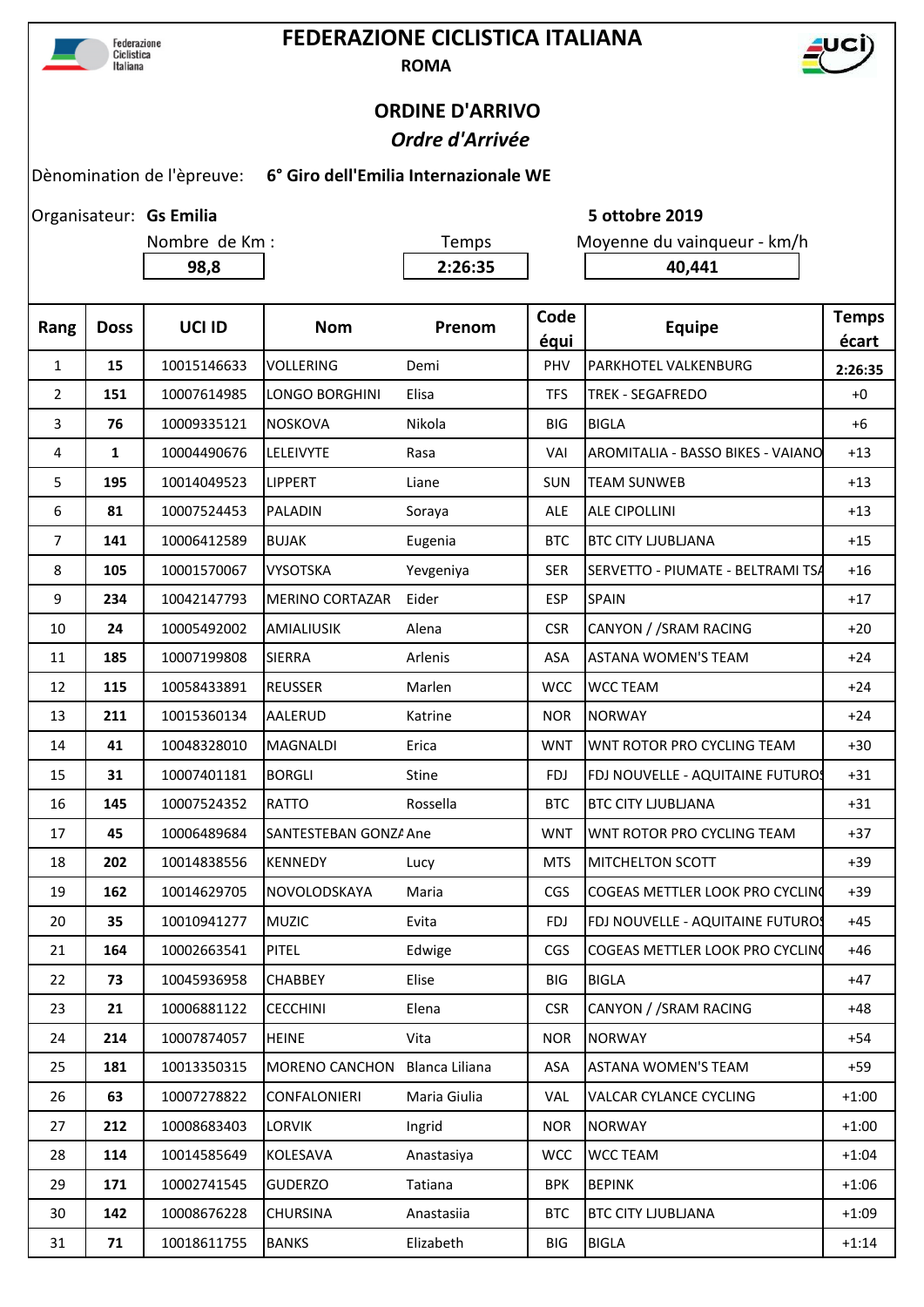

## **FEDERAZIONE CICLISTICA ITALIANA ROMA**



## **ORDINE D'ARRIVO**  *Ordre d'Arrivée*

## Dènomination de l'èpreuve: **6° Giro dell'Emilia Internazionale WE**

Organisateur: Gs Emilia

**98,8 2:26:35 40,441**

Nombre de Km : Temps Moyenne du vainqueur - km/h

**Gs Emilia 5 ottobre 2019**

| Rang   | <b>Doss</b>  | UCI ID      | <b>Nom</b>                    | Prenom       | Code<br>équi | <b>Equipe</b>                     | <b>Temps</b><br>écart |
|--------|--------------|-------------|-------------------------------|--------------|--------------|-----------------------------------|-----------------------|
| 1      | 15           | 10015146633 | <b>VOLLERING</b>              | Demi         | PHV          | PARKHOTEL VALKENBURG              | 2:26:35               |
| 2      | 151          | 10007614985 | <b>LONGO BORGHINI</b>         | Elisa        | <b>TFS</b>   | <b>TREK - SEGAFREDO</b>           | $+0$                  |
| 3      | 76           | 10009335121 | <b>NOSKOVA</b>                | Nikola       | BIG          | <b>BIGLA</b>                      | $+6$                  |
| 4      | $\mathbf{1}$ | 10004490676 | LELEIVYTE                     | Rasa         | VAI          | AROMITALIA - BASSO BIKES - VAIANO | $+13$                 |
| 5      | 195          | 10014049523 | <b>LIPPERT</b>                | Liane        | <b>SUN</b>   | <b>TEAM SUNWEB</b>                | $+13$                 |
| 6      | 81           | 10007524453 | PALADIN                       | Soraya       | <b>ALE</b>   | ALE CIPOLLINI                     | $+13$                 |
| 7      | 141          | 10006412589 | <b>BUJAK</b>                  | Eugenia      | <b>BTC</b>   | <b>BTC CITY LJUBLJANA</b>         | $+15$                 |
| 8      | 105          | 10001570067 | <b>VYSOTSKA</b>               | Yevgeniya    | <b>SER</b>   | SERVETTO - PIUMATE - BELTRAMI TSA | $+16$                 |
| 9      | 234          | 10042147793 | <b>MERINO CORTAZAR</b>        | Eider        | <b>ESP</b>   | SPAIN                             | $+17$                 |
| 10     | 24           | 10005492002 | <b>AMIALIUSIK</b>             | Alena        | <b>CSR</b>   | CANYON / / SRAM RACING            | $+20$                 |
| 11     | 185          | 10007199808 | <b>SIERRA</b>                 | Arlenis      | ASA          | <b>ASTANA WOMEN'S TEAM</b>        | $+24$                 |
| 12     | 115          | 10058433891 | <b>REUSSER</b>                | Marlen       | <b>WCC</b>   | <b>WCC TEAM</b>                   | $+24$                 |
| 13     | 211          | 10015360134 | <b>AALERUD</b>                | Katrine      | <b>NOR</b>   | <b>NORWAY</b>                     | $+24$                 |
| 14     | 41           | 10048328010 | <b>MAGNALDI</b>               | Erica        | <b>WNT</b>   | WNT ROTOR PRO CYCLING TEAM        | $+30$                 |
| 15     | 31           | 10007401181 | <b>BORGLI</b>                 | <b>Stine</b> | <b>FDJ</b>   | FDJ NOUVELLE - AQUITAINE FUTUROS  | $+31$                 |
| 16     | 145          | 10007524352 | <b>RATTO</b>                  | Rossella     | <b>BTC</b>   | <b>BTC CITY LJUBLJANA</b>         | $+31$                 |
| 17     | 45           | 10006489684 | SANTESTEBAN GONZA Ane         |              | <b>WNT</b>   | WNT ROTOR PRO CYCLING TEAM        | $+37$                 |
| 18     | 202          | 10014838556 | <b>KENNEDY</b>                | Lucy         | <b>MTS</b>   | MITCHELTON SCOTT                  | $+39$                 |
| 19     | 162          | 10014629705 | NOVOLODSKAYA                  | Maria        | <b>CGS</b>   | COGEAS METTLER LOOK PRO CYCLING   | $+39$                 |
| 20     | 35           | 10010941277 | <b>MUZIC</b>                  | Evita        | <b>FDJ</b>   | FDJ NOUVELLE - AQUITAINE FUTUROS  | $+45$                 |
| 21     | 164          | 10002663541 | <b>PITEL</b>                  | Edwige       | CGS          | COGEAS METTLER LOOK PRO CYCLING   | $+46$                 |
| 22     | 73           | 10045936958 | <b>CHABBEY</b>                | Elise        | <b>BIG</b>   | <b>BIGLA</b>                      | $+47$                 |
| 23     | 21           | 10006881122 | <b>CECCHINI</b>               | Elena        | <b>CSR</b>   | CANYON / /SRAM RACING             | $+48$                 |
| 24     | 214          | 10007874057 | <b>HEINE</b>                  | Vita         | <b>NOR</b>   | <b>NORWAY</b>                     | $+54$                 |
| 25     | 181          | 10013350315 | MORENO CANCHON Blanca Liliana |              | ASA          | <b>ASTANA WOMEN'S TEAM</b>        | $+59$                 |
| 26     | 63           | 10007278822 | CONFALONIERI                  | Maria Giulia | <b>VAL</b>   | VALCAR CYLANCE CYCLING            | $+1:00$               |
| 27     | 212          | 10008683403 | LORVIK                        | Ingrid       | <b>NOR</b>   | <b>NORWAY</b>                     | $+1:00$               |
| 28     | 114          | 10014585649 | KOLESAVA                      | Anastasiya   | <b>WCC</b>   | <b>WCC TEAM</b>                   | $+1:04$               |
| 29     | 171          | 10002741545 | <b>GUDERZO</b>                | Tatiana      | <b>BPK</b>   | <b>BEPINK</b>                     | $+1:06$               |
| 30     | 142          | 10008676228 | <b>CHURSINA</b>               | Anastasiia   | <b>BTC</b>   | <b>BTC CITY LJUBLJANA</b>         | $+1:09$               |
| $31\,$ | 71           | 10018611755 | <b>BANKS</b>                  | Elizabeth    | <b>BIG</b>   | <b>BIGLA</b>                      | $+1:14$               |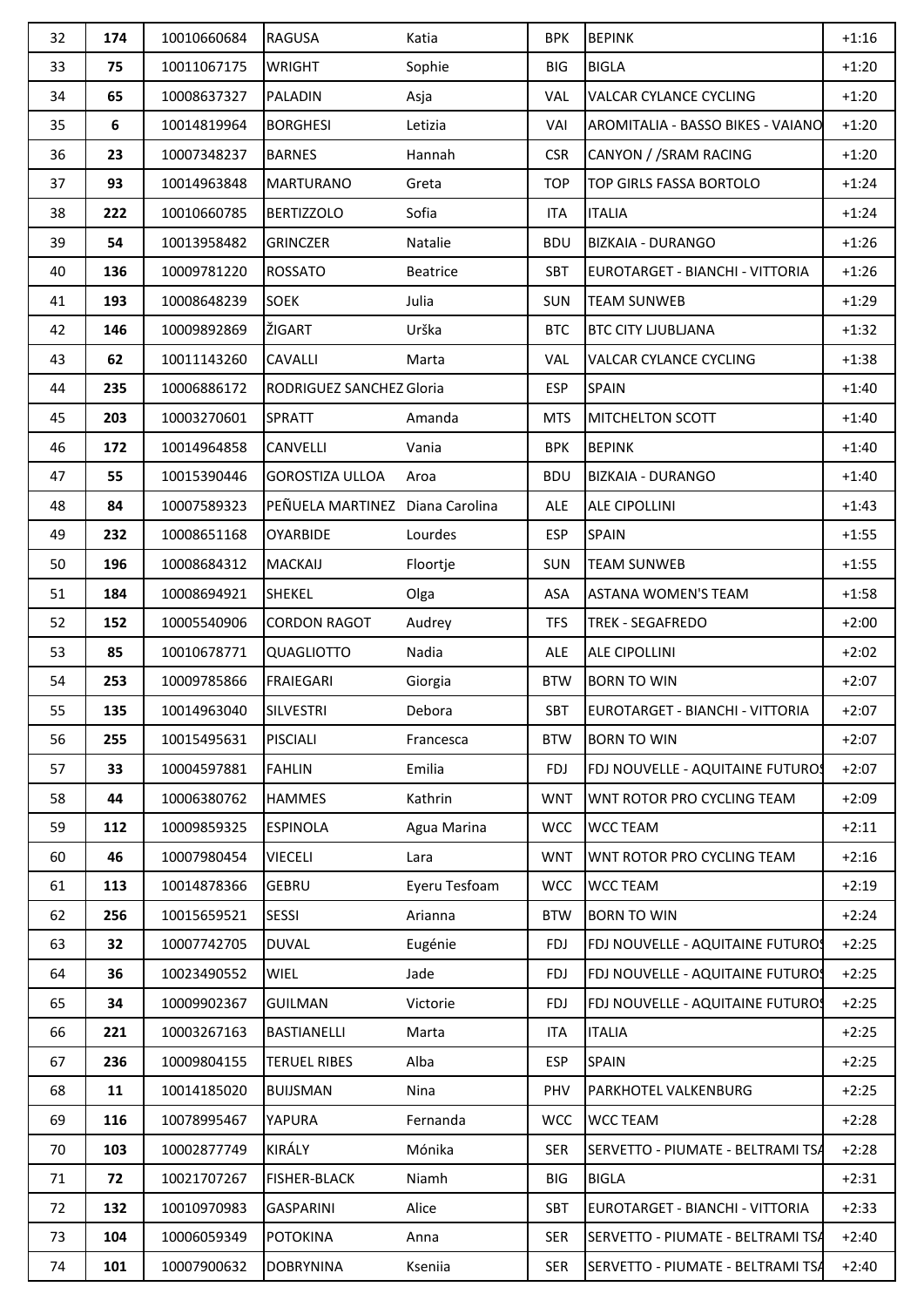| 32 | 174 | 10010660684 | <b>RAGUSA</b>                   | Katia         | <b>BPK</b> | <b>BEPINK</b>                     | $+1:16$ |
|----|-----|-------------|---------------------------------|---------------|------------|-----------------------------------|---------|
| 33 | 75  | 10011067175 | <b>WRIGHT</b>                   | Sophie        | <b>BIG</b> | <b>BIGLA</b>                      | $+1:20$ |
| 34 | 65  | 10008637327 | <b>PALADIN</b>                  | Asja          | <b>VAL</b> | <b>VALCAR CYLANCE CYCLING</b>     | $+1:20$ |
| 35 | 6   | 10014819964 | <b>BORGHESI</b>                 | Letizia       | VAI        | AROMITALIA - BASSO BIKES - VAIANO | $+1:20$ |
| 36 | 23  | 10007348237 | <b>BARNES</b>                   | Hannah        | <b>CSR</b> | CANYON / SRAM RACING              | $+1:20$ |
| 37 | 93  | 10014963848 | <b>MARTURANO</b>                | Greta         | <b>TOP</b> | <b>TOP GIRLS FASSA BORTOLO</b>    | $+1:24$ |
| 38 | 222 | 10010660785 | <b>BERTIZZOLO</b>               | Sofia         | <b>ITA</b> | <b>ITALIA</b>                     | $+1:24$ |
| 39 | 54  | 10013958482 | <b>GRINCZER</b>                 | Natalie       | <b>BDU</b> | <b>BIZKAIA - DURANGO</b>          | $+1:26$ |
| 40 | 136 | 10009781220 | <b>ROSSATO</b>                  | Beatrice      | <b>SBT</b> | EUROTARGET - BIANCHI - VITTORIA   | $+1:26$ |
| 41 | 193 | 10008648239 | <b>SOEK</b>                     | Julia         | <b>SUN</b> | <b>TEAM SUNWEB</b>                | $+1:29$ |
| 42 | 146 | 10009892869 | ŽIGART                          | Urška         | <b>BTC</b> | <b>BTC CITY LJUBLJANA</b>         | $+1:32$ |
| 43 | 62  | 10011143260 | <b>CAVALLI</b>                  | Marta         | <b>VAL</b> | <b>VALCAR CYLANCE CYCLING</b>     | $+1:38$ |
| 44 | 235 | 10006886172 | RODRIGUEZ SANCHEZ Gloria        |               | <b>ESP</b> | <b>SPAIN</b>                      | $+1:40$ |
| 45 | 203 | 10003270601 | <b>SPRATT</b>                   | Amanda        | <b>MTS</b> | MITCHELTON SCOTT                  | $+1:40$ |
| 46 | 172 | 10014964858 | CANVELLI                        | Vania         | <b>BPK</b> | <b>BEPINK</b>                     | $+1:40$ |
| 47 | 55  | 10015390446 | <b>GOROSTIZA ULLOA</b>          | Aroa          | <b>BDU</b> | <b>BIZKAIA - DURANGO</b>          | $+1:40$ |
| 48 | 84  | 10007589323 | PEÑUELA MARTINEZ Diana Carolina |               | ALE        | ALE CIPOLLINI                     | $+1:43$ |
| 49 | 232 | 10008651168 | <b>OYARBIDE</b>                 | Lourdes       | <b>ESP</b> | <b>SPAIN</b>                      | $+1:55$ |
| 50 | 196 | 10008684312 | <b>MACKAIJ</b>                  | Floortje      | <b>SUN</b> | <b>TEAM SUNWEB</b>                | $+1:55$ |
| 51 | 184 | 10008694921 | <b>SHEKEL</b>                   | Olga          | ASA        | <b>ASTANA WOMEN'S TEAM</b>        | $+1:58$ |
| 52 | 152 | 10005540906 | <b>CORDON RAGOT</b>             | Audrey        | <b>TFS</b> | <b>TREK - SEGAFREDO</b>           | $+2:00$ |
| 53 | 85  | 10010678771 | QUAGLIOTTO                      | Nadia         | ALE        | <b>ALE CIPOLLINI</b>              | $+2:02$ |
| 54 | 253 | 10009785866 | <b>FRAIEGARI</b>                | Giorgia       | <b>BTW</b> | <b>BORN TO WIN</b>                | $+2:07$ |
| 55 | 135 | 10014963040 | SILVESTRI                       | Debora        | SBT        | EUROTARGET - BIANCHI - VITTORIA   | $+2:07$ |
| 56 | 255 | 10015495631 | <b>PISCIALI</b>                 | Francesca     | <b>BTW</b> | <b>BORN TO WIN</b>                | $+2:07$ |
| 57 | 33  | 10004597881 | <b>FAHLIN</b>                   | Emilia        | <b>FDJ</b> | FDJ NOUVELLE - AQUITAINE FUTUROS  | $+2:07$ |
| 58 | 44  | 10006380762 | <b>HAMMES</b>                   | Kathrin       | <b>WNT</b> | WNT ROTOR PRO CYCLING TEAM        | $+2:09$ |
| 59 | 112 | 10009859325 | <b>ESPINOLA</b>                 | Agua Marina   | <b>WCC</b> | <b>WCC TEAM</b>                   | $+2:11$ |
| 60 | 46  | 10007980454 | <b>VIECELI</b>                  | Lara          | <b>WNT</b> | WNT ROTOR PRO CYCLING TEAM        | $+2:16$ |
| 61 | 113 | 10014878366 | <b>GEBRU</b>                    | Eyeru Tesfoam | <b>WCC</b> | <b>WCC TEAM</b>                   | $+2:19$ |
| 62 | 256 | 10015659521 | <b>SESSI</b>                    | Arianna       | <b>BTW</b> | <b>BORN TO WIN</b>                | $+2:24$ |
| 63 | 32  | 10007742705 | <b>DUVAL</b>                    | Eugénie       | FDJ        | FDJ NOUVELLE - AQUITAINE FUTUROS  | $+2:25$ |
| 64 | 36  | 10023490552 | <b>WIEL</b>                     | Jade          | <b>FDJ</b> | FDJ NOUVELLE - AQUITAINE FUTUROS  | $+2:25$ |
| 65 | 34  | 10009902367 | <b>GUILMAN</b>                  | Victorie      | <b>FDJ</b> | FDJ NOUVELLE - AQUITAINE FUTUROS  | $+2:25$ |
| 66 | 221 | 10003267163 | <b>BASTIANELLI</b>              | Marta         | <b>ITA</b> | <b>ITALIA</b>                     | $+2:25$ |
| 67 | 236 | 10009804155 | <b>TERUEL RIBES</b>             | Alba          | ESP        | <b>SPAIN</b>                      | $+2:25$ |
| 68 | 11  | 10014185020 | <b>BUIJSMAN</b>                 | Nina          | PHV        | PARKHOTEL VALKENBURG              | $+2:25$ |
| 69 | 116 | 10078995467 | YAPURA                          | Fernanda      | <b>WCC</b> | <b>WCC TEAM</b>                   | $+2:28$ |
| 70 | 103 | 10002877749 | KIRÁLY                          | Mónika        | <b>SER</b> | SERVETTO - PIUMATE - BELTRAMI TSA | $+2:28$ |
| 71 | 72  | 10021707267 | <b>FISHER-BLACK</b>             | Niamh         | <b>BIG</b> | <b>BIGLA</b>                      | $+2:31$ |
| 72 | 132 | 10010970983 | <b>GASPARINI</b>                | Alice         | SBT        | EUROTARGET - BIANCHI - VITTORIA   | $+2:33$ |
| 73 | 104 | 10006059349 | <b>POTOKINA</b>                 | Anna          | <b>SER</b> | SERVETTO - PIUMATE - BELTRAMI TSA | $+2:40$ |
| 74 | 101 | 10007900632 | <b>DOBRYNINA</b>                | Kseniia       | <b>SER</b> | SERVETTO - PIUMATE - BELTRAMI TSA | $+2:40$ |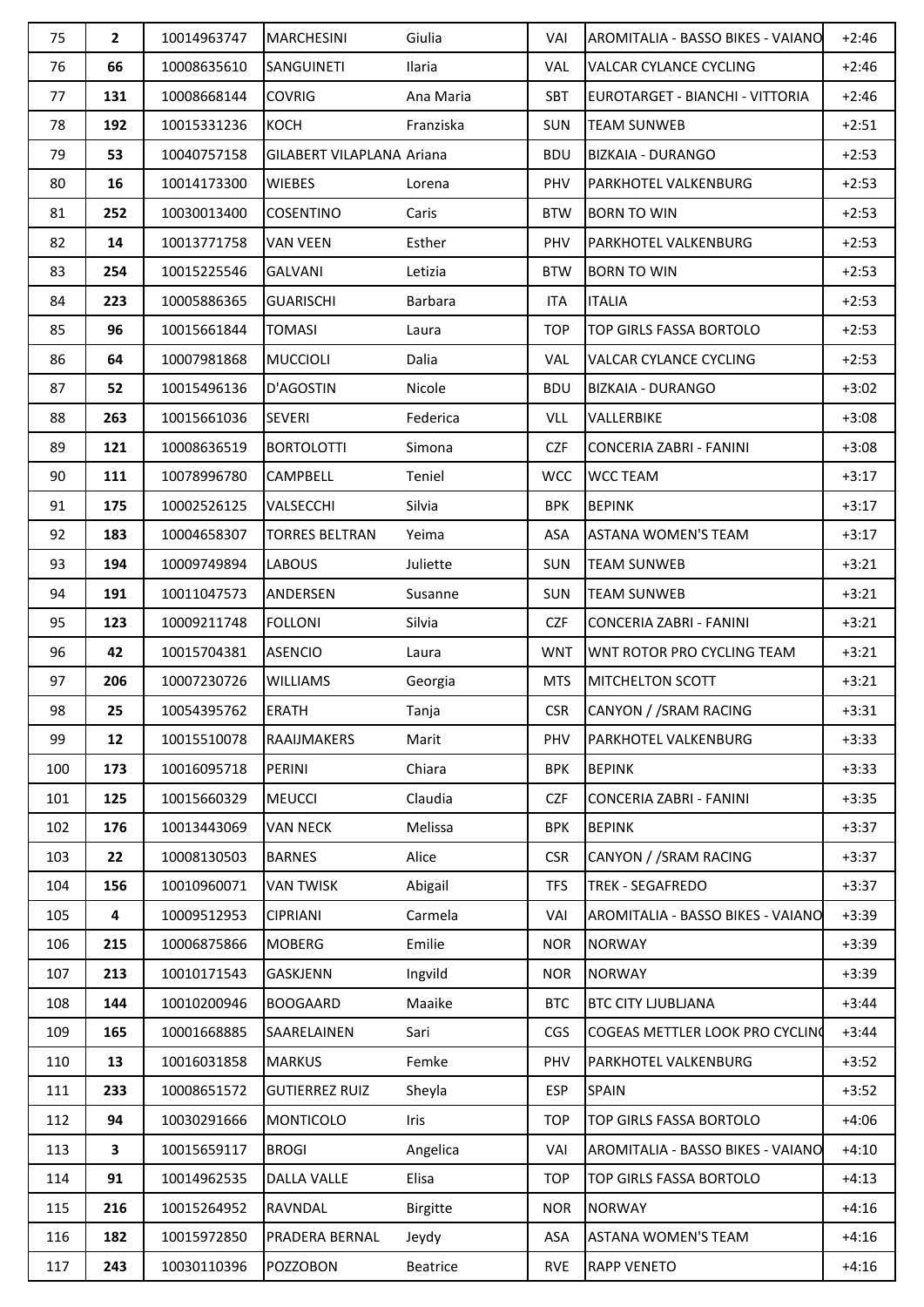| 75  | $\overline{2}$ | 10014963747 | <b>MARCHESINI</b>         | Giulia          | VAI        | <b>AROMITALIA - BASSO BIKES - VAIANO</b> | $+2:46$ |
|-----|----------------|-------------|---------------------------|-----------------|------------|------------------------------------------|---------|
| 76  | 66             | 10008635610 | <b>SANGUINETI</b>         | Ilaria          | VAL        | <b>VALCAR CYLANCE CYCLING</b>            | $+2:46$ |
| 77  | 131            | 10008668144 | <b>COVRIG</b>             | Ana Maria       | SBT        | EUROTARGET - BIANCHI - VITTORIA          | $+2:46$ |
| 78  | 192            | 10015331236 | <b>KOCH</b>               | Franziska       | <b>SUN</b> | <b>TEAM SUNWEB</b>                       | $+2:51$ |
| 79  | 53             | 10040757158 | GILABERT VILAPLANA Ariana |                 | <b>BDU</b> | <b>BIZKAIA - DURANGO</b>                 | $+2:53$ |
| 80  | 16             | 10014173300 | <b>WIEBES</b>             | Lorena          | PHV        | PARKHOTEL VALKENBURG                     | $+2:53$ |
| 81  | 252            | 10030013400 | <b>COSENTINO</b>          | Caris           | <b>BTW</b> | <b>BORN TO WIN</b>                       | $+2:53$ |
| 82  | 14             | 10013771758 | <b>VAN VEEN</b>           | Esther          | PHV        | PARKHOTEL VALKENBURG                     | $+2:53$ |
| 83  | 254            | 10015225546 | <b>GALVANI</b>            | Letizia         | <b>BTW</b> | <b>BORN TO WIN</b>                       | $+2:53$ |
| 84  | 223            | 10005886365 | <b>GUARISCHI</b>          | Barbara         | <b>ITA</b> | <b>ITALIA</b>                            | $+2:53$ |
| 85  | 96             | 10015661844 | <b>TOMASI</b>             | Laura           | <b>TOP</b> | <b>TOP GIRLS FASSA BORTOLO</b>           | $+2:53$ |
| 86  | 64             | 10007981868 | <b>MUCCIOLI</b>           | Dalia           | VAL.       | <b>VALCAR CYLANCE CYCLING</b>            | $+2:53$ |
| 87  | 52             | 10015496136 | D'AGOSTIN                 | Nicole          | <b>BDU</b> | <b>BIZKAIA - DURANGO</b>                 | $+3:02$ |
| 88  | 263            | 10015661036 | <b>SEVERI</b>             | Federica        | VLL        | VALLERBIKE                               | $+3:08$ |
| 89  | 121            | 10008636519 | <b>BORTOLOTTI</b>         | Simona          | <b>CZF</b> | <b>CONCERIA ZABRI - FANINI</b>           | $+3:08$ |
| 90  | 111            | 10078996780 | CAMPBELL                  | Teniel          | <b>WCC</b> | <b>WCC TEAM</b>                          | $+3:17$ |
| 91  | 175            | 10002526125 | VALSECCHI                 | Silvia          | <b>BPK</b> | <b>BEPINK</b>                            | $+3:17$ |
| 92  | 183            | 10004658307 | <b>TORRES BELTRAN</b>     | Yeima           | ASA        | <b>ASTANA WOMEN'S TEAM</b>               | $+3:17$ |
| 93  | 194            | 10009749894 | <b>LABOUS</b>             | Juliette        | <b>SUN</b> | <b>TEAM SUNWEB</b>                       | $+3:21$ |
| 94  | 191            | 10011047573 | ANDERSEN                  | Susanne         | <b>SUN</b> | <b>TEAM SUNWEB</b>                       | $+3:21$ |
| 95  | 123            | 10009211748 | <b>FOLLONI</b>            | Silvia          | <b>CZF</b> | <b>CONCERIA ZABRI - FANINI</b>           | $+3:21$ |
| 96  | 42             | 10015704381 | <b>ASENCIO</b>            | Laura           | <b>WNT</b> | WNT ROTOR PRO CYCLING TEAM               | $+3:21$ |
| 97  | 206            | 10007230726 | <b>WILLIAMS</b>           | Georgia         | <b>MTS</b> | <b>MITCHELTON SCOTT</b>                  | $+3:21$ |
| 98  | 25             | 10054395762 | ERATH                     | Tanja           | <b>CSR</b> | CANYON / / SRAM RACING                   | $+3:31$ |
| 99  | 12             | 10015510078 | <b>RAAIJMAKERS</b>        | Marit           | PHV.       | PARKHOTEL VALKENBURG                     | $+3:33$ |
| 100 | 173            | 10016095718 | PERINI                    | Chiara          | <b>BPK</b> | <b>BEPINK</b>                            | $+3:33$ |
| 101 | 125            | 10015660329 | <b>MEUCCI</b>             | Claudia         | <b>CZF</b> | <b>CONCERIA ZABRI - FANINI</b>           | $+3:35$ |
| 102 | 176            | 10013443069 | <b>VAN NECK</b>           | Melissa         | <b>BPK</b> | <b>BEPINK</b>                            | $+3:37$ |
| 103 | 22             | 10008130503 | <b>BARNES</b>             | Alice           | <b>CSR</b> | CANYON / /SRAM RACING                    | $+3:37$ |
| 104 | 156            | 10010960071 | <b>VAN TWISK</b>          | Abigail         | <b>TFS</b> | <b>TREK - SEGAFREDO</b>                  | $+3:37$ |
| 105 | 4              | 10009512953 | <b>CIPRIANI</b>           | Carmela         | VAI        | AROMITALIA - BASSO BIKES - VAIANO        | $+3:39$ |
| 106 | 215            | 10006875866 | <b>MOBERG</b>             | Emilie          | <b>NOR</b> | <b>NORWAY</b>                            | $+3:39$ |
| 107 | 213            | 10010171543 | GASKJENN                  | Ingvild         | <b>NOR</b> | <b>NORWAY</b>                            | $+3:39$ |
| 108 | 144            | 10010200946 | <b>BOOGAARD</b>           | Maaike          | <b>BTC</b> | <b>BTC CITY LJUBLJANA</b>                | $+3:44$ |
| 109 | 165            | 10001668885 | SAARELAINEN               | Sari            | CGS        | COGEAS METTLER LOOK PRO CYCLING          | $+3:44$ |
| 110 | 13             | 10016031858 | <b>MARKUS</b>             | Femke           | PHV        | PARKHOTEL VALKENBURG                     | $+3:52$ |
| 111 | 233            | 10008651572 | <b>GUTIERREZ RUIZ</b>     | Sheyla          | <b>ESP</b> | <b>SPAIN</b>                             | $+3:52$ |
| 112 | 94             | 10030291666 | <b>MONTICOLO</b>          | Iris            | <b>TOP</b> | TOP GIRLS FASSA BORTOLO                  | $+4:06$ |
| 113 | 3              | 10015659117 | <b>BROGI</b>              | Angelica        | VAI        | AROMITALIA - BASSO BIKES - VAIANO        | $+4:10$ |
| 114 | 91             | 10014962535 | <b>DALLA VALLE</b>        | Elisa           | <b>TOP</b> | TOP GIRLS FASSA BORTOLO                  | $+4:13$ |
| 115 | 216            | 10015264952 | RAVNDAL                   | <b>Birgitte</b> | <b>NOR</b> | <b>NORWAY</b>                            | $+4:16$ |
| 116 | 182            | 10015972850 | PRADERA BERNAL            | Jeydy           | ASA        | <b>ASTANA WOMEN'S TEAM</b>               | $+4:16$ |
| 117 | 243            | 10030110396 | <b>POZZOBON</b>           | Beatrice        | <b>RVE</b> | <b>RAPP VENETO</b>                       | $+4:16$ |